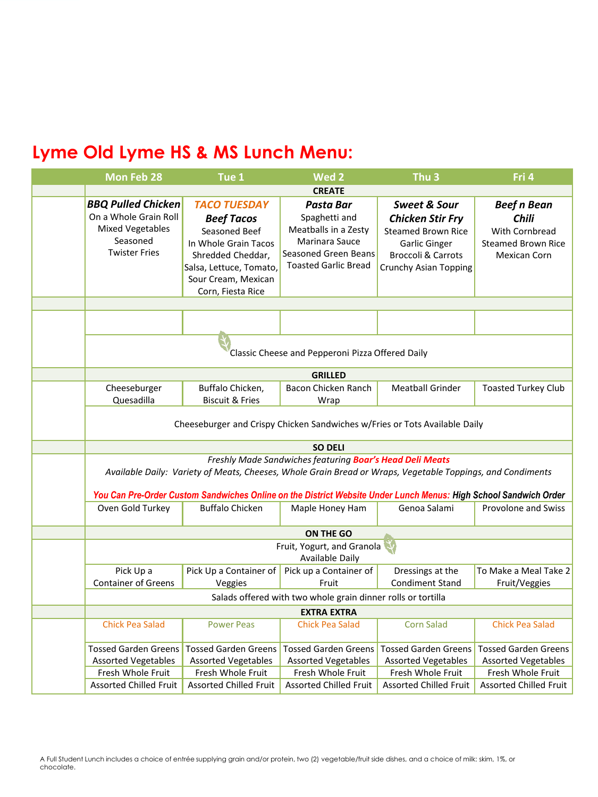| Mon Feb 28                                                                                                                                                                                                                                                                                 | Tue 1                                                                                                                                                                         | Wed <sub>2</sub>                                                                                                            | Thu <sub>3</sub>                                                                                                                                                         | Fri 4                                                                                             |  |  |
|--------------------------------------------------------------------------------------------------------------------------------------------------------------------------------------------------------------------------------------------------------------------------------------------|-------------------------------------------------------------------------------------------------------------------------------------------------------------------------------|-----------------------------------------------------------------------------------------------------------------------------|--------------------------------------------------------------------------------------------------------------------------------------------------------------------------|---------------------------------------------------------------------------------------------------|--|--|
| <b>CREATE</b>                                                                                                                                                                                                                                                                              |                                                                                                                                                                               |                                                                                                                             |                                                                                                                                                                          |                                                                                                   |  |  |
| <b>BBQ Pulled Chicken</b><br>On a Whole Grain Roll<br><b>Mixed Vegetables</b><br>Seasoned<br><b>Twister Fries</b>                                                                                                                                                                          | <b>TACO TUESDAY</b><br><b>Beef Tacos</b><br>Seasoned Beef<br>In Whole Grain Tacos<br>Shredded Cheddar,<br>Salsa, Lettuce, Tomato,<br>Sour Cream, Mexican<br>Corn, Fiesta Rice | Pasta Bar<br>Spaghetti and<br>Meatballs in a Zesty<br>Marinara Sauce<br>Seasoned Green Beans<br><b>Toasted Garlic Bread</b> | <b>Sweet &amp; Sour</b><br><b>Chicken Stir Fry</b><br><b>Steamed Brown Rice</b><br><b>Garlic Ginger</b><br><b>Broccoli &amp; Carrots</b><br><b>Crunchy Asian Topping</b> | <b>Beef n Bean</b><br>Chili<br>With Cornbread<br><b>Steamed Brown Rice</b><br><b>Mexican Corn</b> |  |  |
|                                                                                                                                                                                                                                                                                            |                                                                                                                                                                               |                                                                                                                             |                                                                                                                                                                          |                                                                                                   |  |  |
|                                                                                                                                                                                                                                                                                            |                                                                                                                                                                               |                                                                                                                             |                                                                                                                                                                          |                                                                                                   |  |  |
| Classic Cheese and Pepperoni Pizza Offered Daily                                                                                                                                                                                                                                           |                                                                                                                                                                               |                                                                                                                             |                                                                                                                                                                          |                                                                                                   |  |  |
|                                                                                                                                                                                                                                                                                            |                                                                                                                                                                               | <b>GRILLED</b>                                                                                                              |                                                                                                                                                                          |                                                                                                   |  |  |
| Cheeseburger<br>Quesadilla                                                                                                                                                                                                                                                                 | Buffalo Chicken,<br><b>Biscuit &amp; Fries</b>                                                                                                                                | Bacon Chicken Ranch<br>Wrap                                                                                                 | <b>Meatball Grinder</b>                                                                                                                                                  | <b>Toasted Turkey Club</b>                                                                        |  |  |
| Cheeseburger and Crispy Chicken Sandwiches w/Fries or Tots Available Daily                                                                                                                                                                                                                 |                                                                                                                                                                               |                                                                                                                             |                                                                                                                                                                          |                                                                                                   |  |  |
| <b>SO DELI</b>                                                                                                                                                                                                                                                                             |                                                                                                                                                                               |                                                                                                                             |                                                                                                                                                                          |                                                                                                   |  |  |
| Freshly Made Sandwiches featuring Boar's Head Deli Meats<br>Available Daily: Variety of Meats, Cheeses, Whole Grain Bread or Wraps, Vegetable Toppings, and Condiments<br>You Can Pre-Order Custom Sandwiches Online on the District Website Under Lunch Menus: High School Sandwich Order |                                                                                                                                                                               |                                                                                                                             |                                                                                                                                                                          |                                                                                                   |  |  |
| Oven Gold Turkey                                                                                                                                                                                                                                                                           | <b>Buffalo Chicken</b>                                                                                                                                                        | Maple Honey Ham                                                                                                             | Genoa Salami                                                                                                                                                             | <b>Provolone and Swiss</b>                                                                        |  |  |
| <b>ON THE GO</b>                                                                                                                                                                                                                                                                           |                                                                                                                                                                               |                                                                                                                             |                                                                                                                                                                          |                                                                                                   |  |  |
| Fruit, Yogurt, and Granola<br>Available Daily                                                                                                                                                                                                                                              |                                                                                                                                                                               |                                                                                                                             |                                                                                                                                                                          |                                                                                                   |  |  |
| Pick Up a<br><b>Container of Greens</b>                                                                                                                                                                                                                                                    | Pick Up a Container of<br>Veggies                                                                                                                                             | Pick up a Container of<br>Fruit                                                                                             | Dressings at the<br>Condiment Stand                                                                                                                                      | To Make a Meal Take 2<br>Fruit/Veggies                                                            |  |  |
| Salads offered with two whole grain dinner rolls or tortilla                                                                                                                                                                                                                               |                                                                                                                                                                               |                                                                                                                             |                                                                                                                                                                          |                                                                                                   |  |  |
| <b>EXTRA EXTRA</b>                                                                                                                                                                                                                                                                         |                                                                                                                                                                               |                                                                                                                             |                                                                                                                                                                          |                                                                                                   |  |  |
| <b>Chick Pea Salad</b>                                                                                                                                                                                                                                                                     | <b>Power Peas</b>                                                                                                                                                             | <b>Chick Pea Salad</b>                                                                                                      | <b>Corn Salad</b>                                                                                                                                                        | <b>Chick Pea Salad</b>                                                                            |  |  |
| <b>Tossed Garden Greens</b><br><b>Assorted Vegetables</b>                                                                                                                                                                                                                                  | <b>Tossed Garden Greens</b><br><b>Assorted Vegetables</b>                                                                                                                     | <b>Tossed Garden Greens</b><br><b>Assorted Vegetables</b>                                                                   | <b>Tossed Garden Greens</b><br><b>Assorted Vegetables</b>                                                                                                                | <b>Tossed Garden Greens</b><br><b>Assorted Vegetables</b>                                         |  |  |
| Fresh Whole Fruit<br><b>Assorted Chilled Fruit</b>                                                                                                                                                                                                                                         | Fresh Whole Fruit<br><b>Assorted Chilled Fruit</b>                                                                                                                            | Fresh Whole Fruit<br><b>Assorted Chilled Fruit</b>                                                                          | Fresh Whole Fruit<br><b>Assorted Chilled Fruit</b>                                                                                                                       | Fresh Whole Fruit<br><b>Assorted Chilled Fruit</b>                                                |  |  |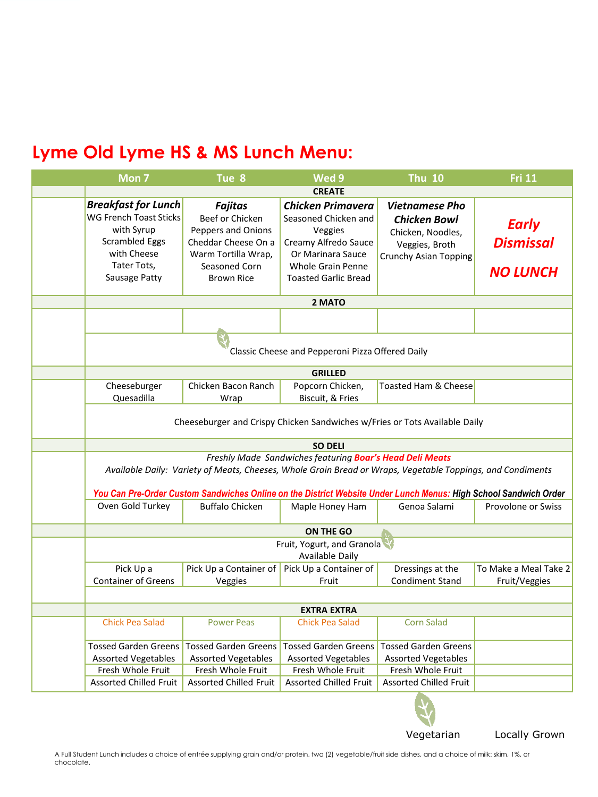| Mon <sub>7</sub>                                                                                                                                                                                                                                                                           | Tue 8                                                                                                                                       | Wed 9                                                                                                                                                               | <b>Thu 10</b>                                                                                                | <b>Fri 11</b>                                       |  |  |
|--------------------------------------------------------------------------------------------------------------------------------------------------------------------------------------------------------------------------------------------------------------------------------------------|---------------------------------------------------------------------------------------------------------------------------------------------|---------------------------------------------------------------------------------------------------------------------------------------------------------------------|--------------------------------------------------------------------------------------------------------------|-----------------------------------------------------|--|--|
| <b>CREATE</b>                                                                                                                                                                                                                                                                              |                                                                                                                                             |                                                                                                                                                                     |                                                                                                              |                                                     |  |  |
| <b>Breakfast for Lunch</b><br><b>WG French Toast Sticks</b><br>with Syrup<br><b>Scrambled Eggs</b><br>with Cheese<br>Tater Tots.<br>Sausage Patty                                                                                                                                          | <b>Fajitas</b><br>Beef or Chicken<br>Peppers and Onions<br>Cheddar Cheese On a<br>Warm Tortilla Wrap,<br>Seasoned Corn<br><b>Brown Rice</b> | <b>Chicken Primavera</b><br>Seasoned Chicken and<br>Veggies<br>Creamy Alfredo Sauce<br>Or Marinara Sauce<br><b>Whole Grain Penne</b><br><b>Toasted Garlic Bread</b> | <b>Vietnamese Pho</b><br><b>Chicken Bowl</b><br>Chicken, Noodles,<br>Veggies, Broth<br>Crunchy Asian Topping | <b>Early</b><br><b>Dismissal</b><br><b>NO LUNCH</b> |  |  |
|                                                                                                                                                                                                                                                                                            |                                                                                                                                             | 2 MATO                                                                                                                                                              |                                                                                                              |                                                     |  |  |
|                                                                                                                                                                                                                                                                                            |                                                                                                                                             |                                                                                                                                                                     |                                                                                                              |                                                     |  |  |
| Classic Cheese and Pepperoni Pizza Offered Daily                                                                                                                                                                                                                                           |                                                                                                                                             |                                                                                                                                                                     |                                                                                                              |                                                     |  |  |
|                                                                                                                                                                                                                                                                                            |                                                                                                                                             |                                                                                                                                                                     |                                                                                                              |                                                     |  |  |
|                                                                                                                                                                                                                                                                                            |                                                                                                                                             | <b>GRILLED</b>                                                                                                                                                      |                                                                                                              |                                                     |  |  |
| Cheeseburger<br>Quesadilla                                                                                                                                                                                                                                                                 | Chicken Bacon Ranch<br>Wrap                                                                                                                 | Popcorn Chicken,<br>Biscuit, & Fries                                                                                                                                | <b>Toasted Ham &amp; Cheese</b>                                                                              |                                                     |  |  |
| Cheeseburger and Crispy Chicken Sandwiches w/Fries or Tots Available Daily                                                                                                                                                                                                                 |                                                                                                                                             |                                                                                                                                                                     |                                                                                                              |                                                     |  |  |
| <b>SO DELI</b>                                                                                                                                                                                                                                                                             |                                                                                                                                             |                                                                                                                                                                     |                                                                                                              |                                                     |  |  |
| Freshly Made Sandwiches featuring Boar's Head Deli Meats<br>Available Daily: Variety of Meats, Cheeses, Whole Grain Bread or Wraps, Vegetable Toppings, and Condiments<br>You Can Pre-Order Custom Sandwiches Online on the District Website Under Lunch Menus: High School Sandwich Order |                                                                                                                                             |                                                                                                                                                                     |                                                                                                              |                                                     |  |  |
| Oven Gold Turkey                                                                                                                                                                                                                                                                           | <b>Buffalo Chicken</b>                                                                                                                      | Maple Honey Ham                                                                                                                                                     | Genoa Salami                                                                                                 | <b>Provolone or Swiss</b>                           |  |  |
| ON THE GO                                                                                                                                                                                                                                                                                  |                                                                                                                                             |                                                                                                                                                                     |                                                                                                              |                                                     |  |  |
| Fruit, Yogurt, and Granola<br>Available Daily                                                                                                                                                                                                                                              |                                                                                                                                             |                                                                                                                                                                     |                                                                                                              |                                                     |  |  |
| Pick Up a                                                                                                                                                                                                                                                                                  | Pick Up a Container of                                                                                                                      | Pick Up a Container of                                                                                                                                              | Dressings at the                                                                                             | To Make a Meal Take 2                               |  |  |
| <b>Container of Greens</b>                                                                                                                                                                                                                                                                 | Veggies                                                                                                                                     | Fruit                                                                                                                                                               | <b>Condiment Stand</b>                                                                                       | Fruit/Veggies                                       |  |  |
| <b>EXTRA EXTRA</b>                                                                                                                                                                                                                                                                         |                                                                                                                                             |                                                                                                                                                                     |                                                                                                              |                                                     |  |  |
| <b>Chick Pea Salad</b>                                                                                                                                                                                                                                                                     | <b>Power Peas</b>                                                                                                                           | <b>Chick Pea Salad</b>                                                                                                                                              | <b>Corn Salad</b>                                                                                            |                                                     |  |  |
| <b>Tossed Garden Greens</b>                                                                                                                                                                                                                                                                | <b>Tossed Garden Greens</b>                                                                                                                 | Tossed Garden Greens                                                                                                                                                | <b>Tossed Garden Greens</b>                                                                                  |                                                     |  |  |
| <b>Assorted Vegetables</b>                                                                                                                                                                                                                                                                 | <b>Assorted Vegetables</b>                                                                                                                  | <b>Assorted Vegetables</b>                                                                                                                                          | <b>Assorted Vegetables</b>                                                                                   |                                                     |  |  |
| Fresh Whole Fruit                                                                                                                                                                                                                                                                          | Fresh Whole Fruit                                                                                                                           | Fresh Whole Fruit                                                                                                                                                   | Fresh Whole Fruit                                                                                            |                                                     |  |  |
| <b>Assorted Chilled Fruit</b>                                                                                                                                                                                                                                                              | <b>Assorted Chilled Fruit</b>                                                                                                               | <b>Assorted Chilled Fruit</b>                                                                                                                                       | <b>Assorted Chilled Fruit</b>                                                                                |                                                     |  |  |



Vegetarian Locally Grown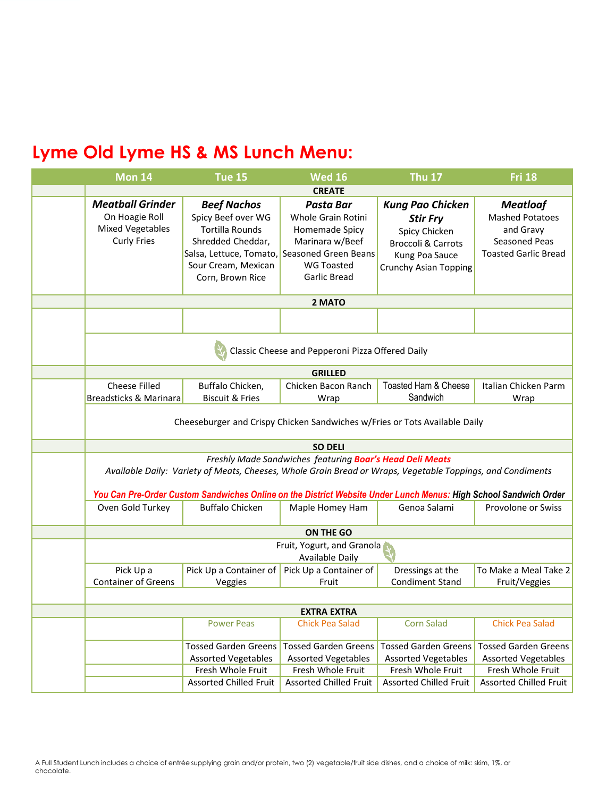| <b>Mon 14</b>                                                                                                                                                                                                                                                                                                                                                                                            | <b>Tue 15</b>                                                                                                                                                 | <b>Wed 16</b>                                                                                                                                   | <b>Thu 17</b>                                                                                                                           | <b>Fri 18</b>                                                                                          |  |  |
|----------------------------------------------------------------------------------------------------------------------------------------------------------------------------------------------------------------------------------------------------------------------------------------------------------------------------------------------------------------------------------------------------------|---------------------------------------------------------------------------------------------------------------------------------------------------------------|-------------------------------------------------------------------------------------------------------------------------------------------------|-----------------------------------------------------------------------------------------------------------------------------------------|--------------------------------------------------------------------------------------------------------|--|--|
| <b>CREATE</b>                                                                                                                                                                                                                                                                                                                                                                                            |                                                                                                                                                               |                                                                                                                                                 |                                                                                                                                         |                                                                                                        |  |  |
| <b>Meatball Grinder</b><br>On Hoagie Roll<br><b>Mixed Vegetables</b><br><b>Curly Fries</b>                                                                                                                                                                                                                                                                                                               | <b>Beef Nachos</b><br>Spicy Beef over WG<br><b>Tortilla Rounds</b><br>Shredded Cheddar,<br>Salsa, Lettuce, Tomato,<br>Sour Cream, Mexican<br>Corn, Brown Rice | <b>Pasta Bar</b><br>Whole Grain Rotini<br>Homemade Spicy<br>Marinara w/Beef<br>Seasoned Green Beans<br><b>WG Toasted</b><br><b>Garlic Bread</b> | <b>Kung Pao Chicken</b><br><b>Stir Fry</b><br>Spicy Chicken<br><b>Broccoli &amp; Carrots</b><br>Kung Poa Sauce<br>Crunchy Asian Topping | <b>Meatloaf</b><br><b>Mashed Potatoes</b><br>and Gravy<br>Seasoned Peas<br><b>Toasted Garlic Bread</b> |  |  |
|                                                                                                                                                                                                                                                                                                                                                                                                          | 2 MATO                                                                                                                                                        |                                                                                                                                                 |                                                                                                                                         |                                                                                                        |  |  |
|                                                                                                                                                                                                                                                                                                                                                                                                          |                                                                                                                                                               |                                                                                                                                                 |                                                                                                                                         |                                                                                                        |  |  |
| Classic Cheese and Pepperoni Pizza Offered Daily                                                                                                                                                                                                                                                                                                                                                         |                                                                                                                                                               |                                                                                                                                                 |                                                                                                                                         |                                                                                                        |  |  |
|                                                                                                                                                                                                                                                                                                                                                                                                          |                                                                                                                                                               | <b>GRILLED</b>                                                                                                                                  |                                                                                                                                         |                                                                                                        |  |  |
| <b>Cheese Filled</b><br>Breadsticks & Marinara                                                                                                                                                                                                                                                                                                                                                           | Buffalo Chicken,<br><b>Biscuit &amp; Fries</b>                                                                                                                | Chicken Bacon Ranch<br>Wrap                                                                                                                     | Toasted Ham & Cheese<br>Sandwich                                                                                                        | Italian Chicken Parm<br>Wrap                                                                           |  |  |
| Cheeseburger and Crispy Chicken Sandwiches w/Fries or Tots Available Daily                                                                                                                                                                                                                                                                                                                               |                                                                                                                                                               |                                                                                                                                                 |                                                                                                                                         |                                                                                                        |  |  |
| <b>SO DELI</b>                                                                                                                                                                                                                                                                                                                                                                                           |                                                                                                                                                               |                                                                                                                                                 |                                                                                                                                         |                                                                                                        |  |  |
| Freshly Made Sandwiches featuring Boar's Head Deli Meats<br>Available Daily: Variety of Meats, Cheeses, Whole Grain Bread or Wraps, Vegetable Toppings, and Condiments<br>You Can Pre-Order Custom Sandwiches Online on the District Website Under Lunch Menus: High School Sandwich Order<br>Oven Gold Turkey<br><b>Buffalo Chicken</b><br>Genoa Salami<br><b>Provolone or Swiss</b><br>Maple Homey Ham |                                                                                                                                                               |                                                                                                                                                 |                                                                                                                                         |                                                                                                        |  |  |
|                                                                                                                                                                                                                                                                                                                                                                                                          |                                                                                                                                                               |                                                                                                                                                 |                                                                                                                                         |                                                                                                        |  |  |
|                                                                                                                                                                                                                                                                                                                                                                                                          | ON THE GO                                                                                                                                                     |                                                                                                                                                 |                                                                                                                                         |                                                                                                        |  |  |
|                                                                                                                                                                                                                                                                                                                                                                                                          | Fruit, Yogurt, and Granola<br>Available Daily                                                                                                                 |                                                                                                                                                 |                                                                                                                                         |                                                                                                        |  |  |
| Pick Up a<br><b>Container of Greens</b>                                                                                                                                                                                                                                                                                                                                                                  | Pick Up a Container of<br>Veggies                                                                                                                             | Pick Up a Container of<br>Fruit                                                                                                                 | Dressings at the<br><b>Condiment Stand</b>                                                                                              | To Make a Meal Take 2<br>Fruit/Veggies                                                                 |  |  |
|                                                                                                                                                                                                                                                                                                                                                                                                          |                                                                                                                                                               |                                                                                                                                                 |                                                                                                                                         |                                                                                                        |  |  |
|                                                                                                                                                                                                                                                                                                                                                                                                          |                                                                                                                                                               | <b>EXTRA EXTRA</b>                                                                                                                              | <b>Corn Salad</b>                                                                                                                       |                                                                                                        |  |  |
|                                                                                                                                                                                                                                                                                                                                                                                                          | <b>Power Peas</b>                                                                                                                                             | <b>Chick Pea Salad</b>                                                                                                                          |                                                                                                                                         | <b>Chick Pea Salad</b>                                                                                 |  |  |
|                                                                                                                                                                                                                                                                                                                                                                                                          | <b>Tossed Garden Greens</b>                                                                                                                                   | <b>Tossed Garden Greens</b>                                                                                                                     | <b>Tossed Garden Greens</b>                                                                                                             | <b>Tossed Garden Greens</b>                                                                            |  |  |
|                                                                                                                                                                                                                                                                                                                                                                                                          | <b>Assorted Vegetables</b><br>Fresh Whole Fruit                                                                                                               | <b>Assorted Vegetables</b><br>Fresh Whole Fruit                                                                                                 | <b>Assorted Vegetables</b><br>Fresh Whole Fruit                                                                                         | <b>Assorted Vegetables</b><br>Fresh Whole Fruit                                                        |  |  |
|                                                                                                                                                                                                                                                                                                                                                                                                          | <b>Assorted Chilled Fruit</b>                                                                                                                                 | <b>Assorted Chilled Fruit</b>                                                                                                                   | <b>Assorted Chilled Fruit</b>                                                                                                           | Assorted Chilled Fruit                                                                                 |  |  |
|                                                                                                                                                                                                                                                                                                                                                                                                          |                                                                                                                                                               |                                                                                                                                                 |                                                                                                                                         |                                                                                                        |  |  |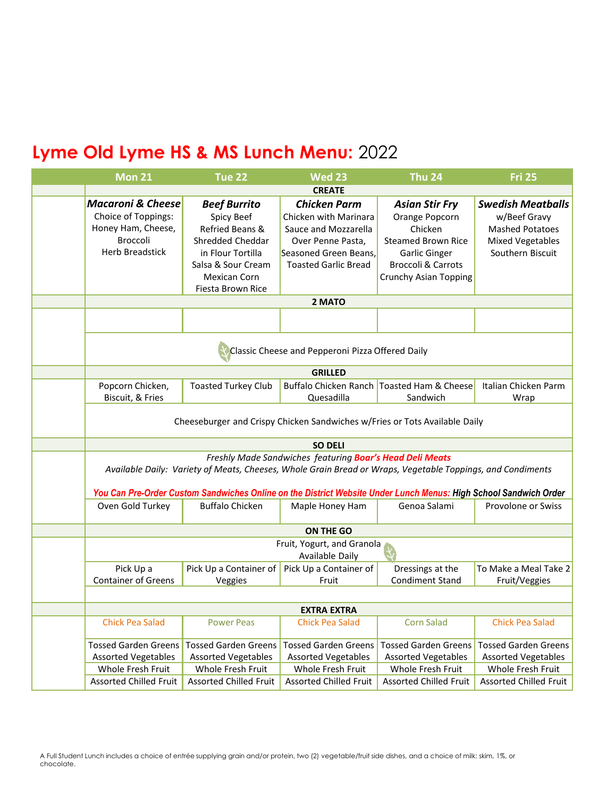| <b>Mon 21</b>                                                                                                                                                                                                                                                                              | Tue 22                                                                                                                                                   | <b>Wed 23</b>                                                                                                                                               | <b>Thu 24</b>                                                                                                                                              | <b>Fri 25</b>                                                                                                     |  |  |
|--------------------------------------------------------------------------------------------------------------------------------------------------------------------------------------------------------------------------------------------------------------------------------------------|----------------------------------------------------------------------------------------------------------------------------------------------------------|-------------------------------------------------------------------------------------------------------------------------------------------------------------|------------------------------------------------------------------------------------------------------------------------------------------------------------|-------------------------------------------------------------------------------------------------------------------|--|--|
| <b>CREATE</b>                                                                                                                                                                                                                                                                              |                                                                                                                                                          |                                                                                                                                                             |                                                                                                                                                            |                                                                                                                   |  |  |
| <b>Macaroni &amp; Cheese</b><br>Choice of Toppings:<br>Honey Ham, Cheese,<br><b>Broccoli</b><br><b>Herb Breadstick</b>                                                                                                                                                                     | <b>Beef Burrito</b><br>Spicy Beef<br>Refried Beans &<br>Shredded Cheddar<br>in Flour Tortilla<br>Salsa & Sour Cream<br>Mexican Corn<br>Fiesta Brown Rice | <b>Chicken Parm</b><br>Chicken with Marinara<br>Sauce and Mozzarella<br>Over Penne Pasta,<br>Seasoned Green Beans,<br><b>Toasted Garlic Bread</b><br>2 MATO | <b>Asian Stir Fry</b><br>Orange Popcorn<br>Chicken<br><b>Steamed Brown Rice</b><br>Garlic Ginger<br><b>Broccoli &amp; Carrots</b><br>Crunchy Asian Topping | <b>Swedish Meatballs</b><br>w/Beef Gravy<br><b>Mashed Potatoes</b><br><b>Mixed Vegetables</b><br>Southern Biscuit |  |  |
| Classic Cheese and Pepperoni Pizza Offered Daily                                                                                                                                                                                                                                           |                                                                                                                                                          |                                                                                                                                                             |                                                                                                                                                            |                                                                                                                   |  |  |
|                                                                                                                                                                                                                                                                                            |                                                                                                                                                          | <b>GRILLED</b>                                                                                                                                              |                                                                                                                                                            |                                                                                                                   |  |  |
| Popcorn Chicken,<br>Biscuit, & Fries                                                                                                                                                                                                                                                       | <b>Toasted Turkey Club</b>                                                                                                                               | Quesadilla                                                                                                                                                  | Buffalo Chicken Ranch Toasted Ham & Cheese<br>Sandwich                                                                                                     | Italian Chicken Parm<br>Wrap                                                                                      |  |  |
| Cheeseburger and Crispy Chicken Sandwiches w/Fries or Tots Available Daily                                                                                                                                                                                                                 |                                                                                                                                                          |                                                                                                                                                             |                                                                                                                                                            |                                                                                                                   |  |  |
|                                                                                                                                                                                                                                                                                            | <b>SO DELI</b>                                                                                                                                           |                                                                                                                                                             |                                                                                                                                                            |                                                                                                                   |  |  |
| Freshly Made Sandwiches featuring Boar's Head Deli Meats<br>Available Daily: Variety of Meats, Cheeses, Whole Grain Bread or Wraps, Vegetable Toppings, and Condiments<br>You Can Pre-Order Custom Sandwiches Online on the District Website Under Lunch Menus: High School Sandwich Order |                                                                                                                                                          |                                                                                                                                                             |                                                                                                                                                            |                                                                                                                   |  |  |
| Oven Gold Turkey                                                                                                                                                                                                                                                                           | <b>Buffalo Chicken</b>                                                                                                                                   | Maple Honey Ham                                                                                                                                             | Genoa Salami                                                                                                                                               | Provolone or Swiss                                                                                                |  |  |
|                                                                                                                                                                                                                                                                                            |                                                                                                                                                          | <b>ON THE GO</b>                                                                                                                                            |                                                                                                                                                            |                                                                                                                   |  |  |
| Fruit, Yogurt, and Granola<br>Available Daily                                                                                                                                                                                                                                              |                                                                                                                                                          |                                                                                                                                                             |                                                                                                                                                            |                                                                                                                   |  |  |
| Pick Up a<br><b>Container of Greens</b>                                                                                                                                                                                                                                                    | Pick Up a Container of<br>Veggies                                                                                                                        | Pick Up a Container of<br>Fruit                                                                                                                             | Dressings at the<br><b>Condiment Stand</b>                                                                                                                 | To Make a Meal Take 2<br>Fruit/Veggies                                                                            |  |  |
|                                                                                                                                                                                                                                                                                            |                                                                                                                                                          |                                                                                                                                                             |                                                                                                                                                            |                                                                                                                   |  |  |
| <b>Chick Pea Salad</b>                                                                                                                                                                                                                                                                     | <b>Power Peas</b>                                                                                                                                        | <b>EXTRA EXTRA</b><br><b>Chick Pea Salad</b>                                                                                                                | <b>Corn Salad</b>                                                                                                                                          | <b>Chick Pea Salad</b>                                                                                            |  |  |
|                                                                                                                                                                                                                                                                                            |                                                                                                                                                          |                                                                                                                                                             |                                                                                                                                                            |                                                                                                                   |  |  |
| <b>Tossed Garden Greens</b>                                                                                                                                                                                                                                                                | <b>Tossed Garden Greens</b>                                                                                                                              | <b>Tossed Garden Greens</b>                                                                                                                                 | <b>Tossed Garden Greens</b>                                                                                                                                | <b>Tossed Garden Greens</b>                                                                                       |  |  |
| <b>Assorted Vegetables</b><br>Whole Fresh Fruit                                                                                                                                                                                                                                            | <b>Assorted Vegetables</b><br>Whole Fresh Fruit                                                                                                          | <b>Assorted Vegetables</b><br>Whole Fresh Fruit                                                                                                             | <b>Assorted Vegetables</b><br>Whole Fresh Fruit                                                                                                            | <b>Assorted Vegetables</b><br>Whole Fresh Fruit                                                                   |  |  |
| <b>Assorted Chilled Fruit</b>                                                                                                                                                                                                                                                              | <b>Assorted Chilled Fruit</b>                                                                                                                            | <b>Assorted Chilled Fruit</b>                                                                                                                               | <b>Assorted Chilled Fruit</b>                                                                                                                              | <b>Assorted Chilled Fruit</b>                                                                                     |  |  |